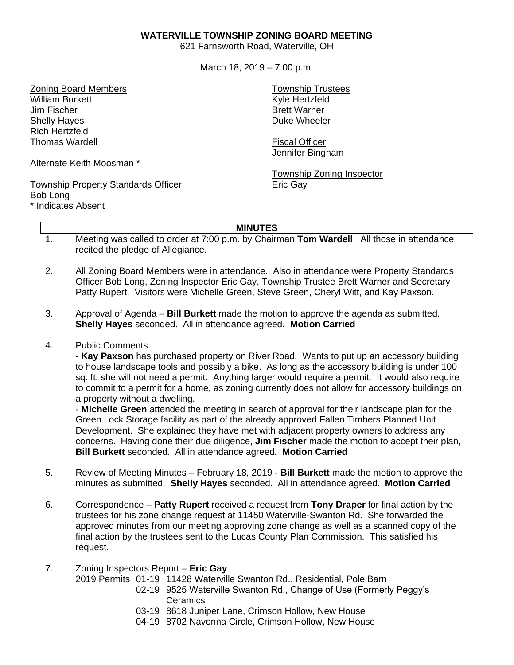## **WATERVILLE TOWNSHIP ZONING BOARD MEETING**

621 Farnsworth Road, Waterville, OH

March 18, 2019 – 7:00 p.m.

Zoning Board Members William Burkett Jim Fischer Shelly Hayes Rich Hertzfeld Thomas Wardell

Alternate Keith Moosman \*

## Township Property Standards Officer Bob Long

\* Indicates Absent

Township Trustees Kyle Hertzfeld Brett Warner Duke Wheeler

Fiscal Officer Jennifer Bingham

Township Zoning Inspector Eric Gay

## **MINUTES**

- 1. Meeting was called to order at 7:00 p.m. by Chairman **Tom Wardell**. All those in attendance recited the pledge of Allegiance.
- 2. All Zoning Board Members were in attendance. Also in attendance were Property Standards Officer Bob Long, Zoning Inspector Eric Gay, Township Trustee Brett Warner and Secretary Patty Rupert. Visitors were Michelle Green, Steve Green, Cheryl Witt, and Kay Paxson.
- 3. Approval of Agenda **Bill Burkett** made the motion to approve the agenda as submitted. **Shelly Hayes** seconded. All in attendance agreed**. Motion Carried**
- 4. Public Comments:

- **Kay Paxson** has purchased property on River Road. Wants to put up an accessory building to house landscape tools and possibly a bike. As long as the accessory building is under 100 sq. ft. she will not need a permit. Anything larger would require a permit. It would also require to commit to a permit for a home, as zoning currently does not allow for accessory buildings on a property without a dwelling.

- **Michelle Green** attended the meeting in search of approval for their landscape plan for the Green Lock Storage facility as part of the already approved Fallen Timbers Planned Unit Development. She explained they have met with adjacent property owners to address any concerns. Having done their due diligence, **Jim Fischer** made the motion to accept their plan, **Bill Burkett** seconded. All in attendance agreed**. Motion Carried**

- 5. Review of Meeting Minutes February 18, 2019 **Bill Burkett** made the motion to approve the minutes as submitted. **Shelly Hayes** seconded. All in attendance agreed**. Motion Carried**
- 6. Correspondence **Patty Rupert** received a request from **Tony Draper** for final action by the trustees for his zone change request at 11450 Waterville-Swanton Rd. She forwarded the approved minutes from our meeting approving zone change as well as a scanned copy of the final action by the trustees sent to the Lucas County Plan Commission. This satisfied his request.
- 7. Zoning Inspectors Report **Eric Gay**
	- 2019 Permits 01-19 11428 Waterville Swanton Rd., Residential, Pole Barn
		- 02-19 9525 Waterville Swanton Rd., Change of Use (Formerly Peggy's **Ceramics**
		- 03-19 8618 Juniper Lane, Crimson Hollow, New House
		- 04-19 8702 Navonna Circle, Crimson Hollow, New House